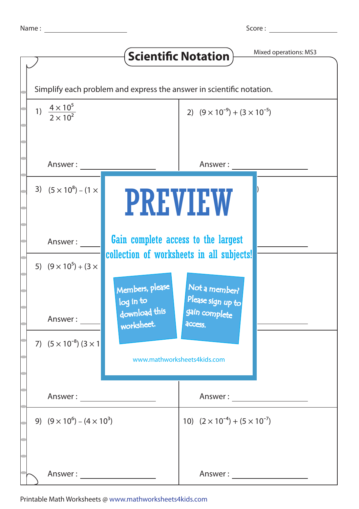|                                                                      |                                          |                                                                                  | <b>Scientific Notation</b>                    | Mixed operations: MS3 |
|----------------------------------------------------------------------|------------------------------------------|----------------------------------------------------------------------------------|-----------------------------------------------|-----------------------|
| Simplify each problem and express the answer in scientific notation. |                                          |                                                                                  |                                               |                       |
|                                                                      | 1) $\frac{4 \times 10^5}{2 \times 10^2}$ |                                                                                  | 2) $(9 \times 10^{-9}) + (3 \times 10^{-5})$  |                       |
|                                                                      | Answer:                                  |                                                                                  | Answer:                                       |                       |
|                                                                      | 3) $(5 \times 10^8) - (1 \times$         | <b>PREVIEW</b>                                                                   |                                               |                       |
|                                                                      | Answer:                                  | Gain complete access to the largest<br>collection of worksheets in all subjects! |                                               |                       |
|                                                                      | 5) $(9 \times 10^5) + (3 \times$         | Members, please                                                                  | Not a member?<br>Please sign up to            |                       |
|                                                                      | Answer :                                 | log in to<br>download this<br>worksheet.                                         | gain complete<br>access.                      |                       |
|                                                                      | 7) $(5 \times 10^{-8})$ $(3 \times 1)$   | www.mathworksheets4kids.com                                                      |                                               |                       |
|                                                                      |                                          | Answer:                                                                          |                                               |                       |
|                                                                      | 9) $(9 \times 10^6) - (4 \times 10^3)$   |                                                                                  | 10) $(2 \times 10^{-4}) + (5 \times 10^{-7})$ |                       |
|                                                                      |                                          |                                                                                  | Answer :                                      |                       |